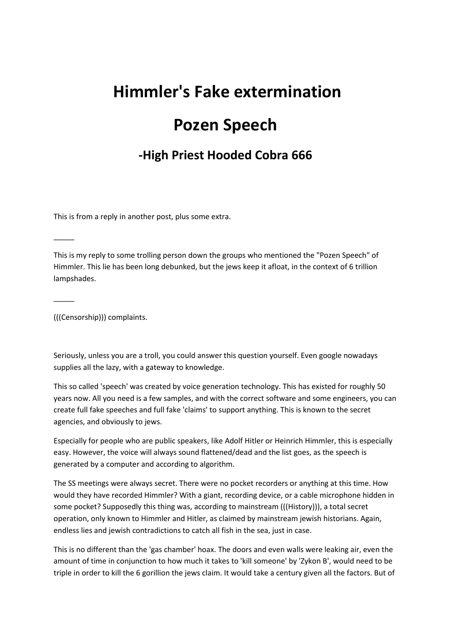# **Himmler's Fake extermination Pozen Speech**

## **-High Priest Hooded Cobra 666**

This is from a reply in another post, plus some extra.

This is my reply to some trolling person down the groups who mentioned the "Pozen Speech" of Himmler. This lie has been long debunked, but the jews keep it afloat, in the context of 6 trillion lampshades.

(((Censorship))) complaints.

 $\overline{\phantom{a}}$ 

 $\overline{\phantom{a}}$ 

Seriously, unless you are a troll, you could answer this question yourself. Even google nowadays supplies all the lazy, with a gateway to knowledge.

This so called 'speech' was created by voice generation technology. This has existed for roughly 50 years now. All you need is a few samples, and with the correct software and some engineers, you can create full fake speeches and full fake 'claims' to support anything. This is known to the secret agencies, and obviously to jews.

Especially for people who are public speakers, like Adolf Hitler or Heinrich Himmler, this is especially easy. However, the voice will always sound flattened/dead and the list goes, as the speech is generated by a computer and according to algorithm.

The SS meetings were always secret. There were no pocket recorders or anything at this time. How would they have recorded Himmler? With a giant, recording device, or a cable microphone hidden in some pocket? Supposedly this thing was, according to mainstream (((History))), a total secret operation, only known to Himmler and Hitler, as claimed by mainstream jewish historians. Again, endless lies and jewish contradictions to catch all fish in the sea, just in case.

This is no different than the 'gas chamber' hoax. The doors and even walls were leaking air, even the amount of time in conjunction to how much it takes to 'kill someone' by 'Zykon B', would need to be triple in order to kill the 6 gorillion the jews claim. It would take a century given all the factors. But of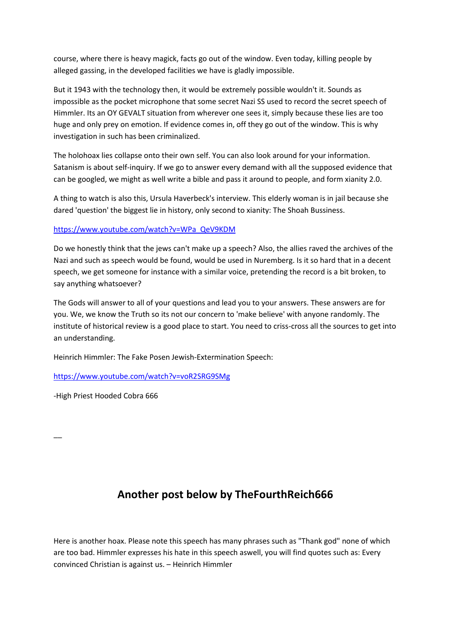course, where there is heavy magick, facts go out of the window. Even today, killing people by alleged gassing, in the developed facilities we have is gladly impossible.

But it 1943 with the technology then, it would be extremely possible wouldn't it. Sounds as impossible as the pocket microphone that some secret Nazi SS used to record the secret speech of Himmler. Its an OY GEVALT situation from wherever one sees it, simply because these lies are too huge and only prey on emotion. If evidence comes in, off they go out of the window. This is why investigation in such has been criminalized.

The holohoax lies collapse onto their own self. You can also look around for your information. Satanism is about self-inquiry. If we go to answer every demand with all the supposed evidence that can be googled, we might as well write a bible and pass it around to people, and form xianity 2.0.

A thing to watch is also this, Ursula Haverbeck's interview. This elderly woman is in jail because she dared 'question' the biggest lie in history, only second to xianity: The Shoah Bussiness.

## [https://www.youtube.com/watch?v=WPa\\_QeV9KDM](https://www.youtube.com/watch?v=WPa_QeV9KDM)

Do we honestly think that the jews can't make up a speech? Also, the allies raved the archives of the Nazi and such as speech would be found, would be used in Nuremberg. Is it so hard that in a decent speech, we get someone for instance with a similar voice, pretending the record is a bit broken, to say anything whatsoever?

The Gods will answer to all of your questions and lead you to your answers. These answers are for you. We, we know the Truth so its not our concern to 'make believe' with anyone randomly. The institute of historical review is a good place to start. You need to criss-cross all the sources to get into an understanding.

Heinrich Himmler: The Fake Posen Jewish-Extermination Speech:

<https://www.youtube.com/watch?v=voR2SRG9SMg>

-High Priest Hooded Cobra 666

 $\overline{\phantom{a}}$ 

## **Another post below by TheFourthReich666**

Here is another hoax. Please note this speech has many phrases such as "Thank god" none of which are too bad. Himmler expresses his hate in this speech aswell, you will find quotes such as: Every convinced Christian is against us. – Heinrich Himmler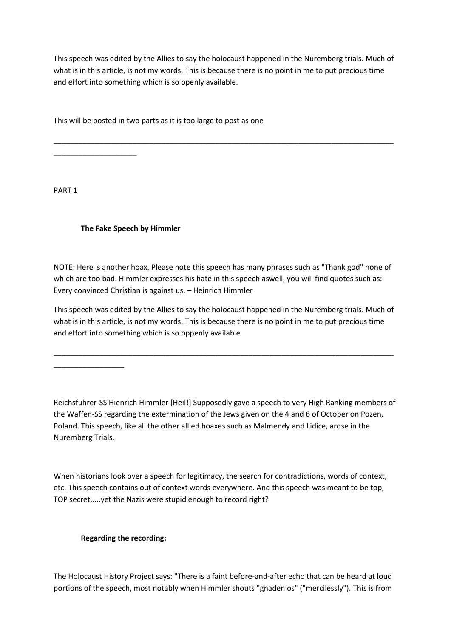This speech was edited by the Allies to say the holocaust happened in the Nuremberg trials. Much of what is in this article, is not my words. This is because there is no point in me to put precious time and effort into something which is so openly available.

\_\_\_\_\_\_\_\_\_\_\_\_\_\_\_\_\_\_\_\_\_\_\_\_\_\_\_\_\_\_\_\_\_\_\_\_\_\_\_\_\_\_\_\_\_\_\_\_\_\_\_\_\_\_\_\_\_\_\_\_\_\_\_\_\_\_\_\_\_\_\_\_\_\_\_\_\_\_\_\_\_\_

This will be posted in two parts as it is too large to post as one

PART 1

\_\_\_\_\_\_\_\_\_\_\_\_\_\_\_\_\_\_\_\_

\_\_\_\_\_\_\_\_\_\_\_\_\_\_\_\_\_

## **The Fake Speech by Himmler**

NOTE: Here is another hoax. Please note this speech has many phrases such as "Thank god" none of which are too bad. Himmler expresses his hate in this speech aswell, you will find quotes such as: Every convinced Christian is against us. – Heinrich Himmler

This speech was edited by the Allies to say the holocaust happened in the Nuremberg trials. Much of what is in this article, is not my words. This is because there is no point in me to put precious time and effort into something which is so oppenly available

\_\_\_\_\_\_\_\_\_\_\_\_\_\_\_\_\_\_\_\_\_\_\_\_\_\_\_\_\_\_\_\_\_\_\_\_\_\_\_\_\_\_\_\_\_\_\_\_\_\_\_\_\_\_\_\_\_\_\_\_\_\_\_\_\_\_\_\_\_\_\_\_\_\_\_\_\_\_\_\_\_\_

Reichsfuhrer-SS Hienrich Himmler [Heil!] Supposedly gave a speech to very High Ranking members of the Waffen-SS regarding the extermination of the Jews given on the 4 and 6 of October on Pozen, Poland. This speech, like all the other allied hoaxes such as Malmendy and Lidice, arose in the Nuremberg Trials.

When historians look over a speech for legitimacy, the search for contradictions, words of context, etc. This speech contains out of context words everywhere. And this speech was meant to be top, TOP secret.....yet the Nazis were stupid enough to record right?

## **Regarding the recording:**

The Holocaust History Project says: "There is a faint before-and-after echo that can be heard at loud portions of the speech, most notably when Himmler shouts "gnadenlos" ("mercilessly"). This is from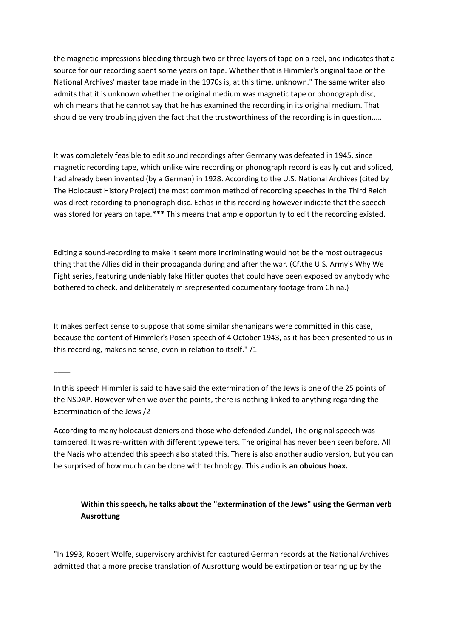the magnetic impressions bleeding through two or three layers of tape on a reel, and indicates that a source for our recording spent some years on tape. Whether that is Himmler's original tape or the National Archives' master tape made in the 1970s is, at this time, unknown." The same writer also admits that it is unknown whether the original medium was magnetic tape or phonograph disc, which means that he cannot say that he has examined the recording in its original medium. That should be very troubling given the fact that the trustworthiness of the recording is in question.....

It was completely feasible to edit sound recordings after Germany was defeated in 1945, since magnetic recording tape, which unlike wire recording or phonograph record is easily cut and spliced, had already been invented (by a German) in 1928. According to the U.S. National Archives (cited by The Holocaust History Project) the most common method of recording speeches in the Third Reich was direct recording to phonograph disc. Echos in this recording however indicate that the speech was stored for years on tape.\*\*\* This means that ample opportunity to edit the recording existed.

Editing a sound-recording to make it seem more incriminating would not be the most outrageous thing that the Allies did in their propaganda during and after the war. (Cf.the U.S. Army's Why We Fight series, featuring undeniably fake Hitler quotes that could have been exposed by anybody who bothered to check, and deliberately misrepresented documentary footage from China.)

It makes perfect sense to suppose that some similar shenanigans were committed in this case, because the content of Himmler's Posen speech of 4 October 1943, as it has been presented to us in this recording, makes no sense, even in relation to itself." /1

In this speech Himmler is said to have said the extermination of the Jews is one of the 25 points of the NSDAP. However when we over the points, there is nothing linked to anything regarding the Eztermination of the Jews /2

 $\overline{\phantom{a}}$ 

According to many holocaust deniers and those who defended Zundel, The original speech was tampered. It was re-written with different typeweiters. The original has never been seen before. All the Nazis who attended this speech also stated this. There is also another audio version, but you can be surprised of how much can be done with technology. This audio is **an obvious hoax.** 

**Within this speech, he talks about the "extermination of the Jews" using the German verb Ausrottung** 

"In 1993, Robert Wolfe, supervisory archivist for captured German records at the National Archives admitted that a more precise translation of Ausrottung would be extirpation or tearing up by the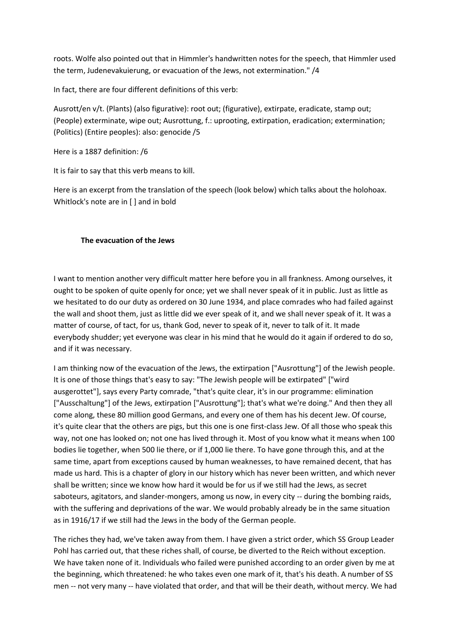roots. Wolfe also pointed out that in Himmler's handwritten notes for the speech, that Himmler used the term, Judenevakuierung, or evacuation of the Jews, not extermination." /4

In fact, there are four different definitions of this verb:

Ausrott/en v/t. (Plants) (also figurative): root out; (figurative), extirpate, eradicate, stamp out; (People) exterminate, wipe out; Ausrottung, f.: uprooting, extirpation, eradication; extermination; (Politics) (Entire peoples): also: genocide /5

Here is a 1887 definition: /6

It is fair to say that this verb means to kill.

Here is an excerpt from the translation of the speech (look below) which talks about the holohoax. Whitlock's note are in [ ] and in bold

## **The evacuation of the Jews**

I want to mention another very difficult matter here before you in all frankness. Among ourselves, it ought to be spoken of quite openly for once; yet we shall never speak of it in public. Just as little as we hesitated to do our duty as ordered on 30 June 1934, and place comrades who had failed against the wall and shoot them, just as little did we ever speak of it, and we shall never speak of it. It was a matter of course, of tact, for us, thank God, never to speak of it, never to talk of it. It made everybody shudder; yet everyone was clear in his mind that he would do it again if ordered to do so, and if it was necessary.

I am thinking now of the evacuation of the Jews, the extirpation ["Ausrottung"] of the Jewish people. It is one of those things that's easy to say: "The Jewish people will be extirpated" ["wird ausgerottet"], says every Party comrade, "that's quite clear, it's in our programme: elimination ["Ausschaltung"] of the Jews, extirpation ["Ausrottung"]; that's what we're doing." And then they all come along, these 80 million good Germans, and every one of them has his decent Jew. Of course, it's quite clear that the others are pigs, but this one is one first-class Jew. Of all those who speak this way, not one has looked on; not one has lived through it. Most of you know what it means when 100 bodies lie together, when 500 lie there, or if 1,000 lie there. To have gone through this, and at the same time, apart from exceptions caused by human weaknesses, to have remained decent, that has made us hard. This is a chapter of glory in our history which has never been written, and which never shall be written; since we know how hard it would be for us if we still had the Jews, as secret saboteurs, agitators, and slander-mongers, among us now, in every city -- during the bombing raids, with the suffering and deprivations of the war. We would probably already be in the same situation as in 1916/17 if we still had the Jews in the body of the German people.

The riches they had, we've taken away from them. I have given a strict order, which SS Group Leader Pohl has carried out, that these riches shall, of course, be diverted to the Reich without exception. We have taken none of it. Individuals who failed were punished according to an order given by me at the beginning, which threatened: he who takes even one mark of it, that's his death. A number of SS men -- not very many -- have violated that order, and that will be their death, without mercy. We had